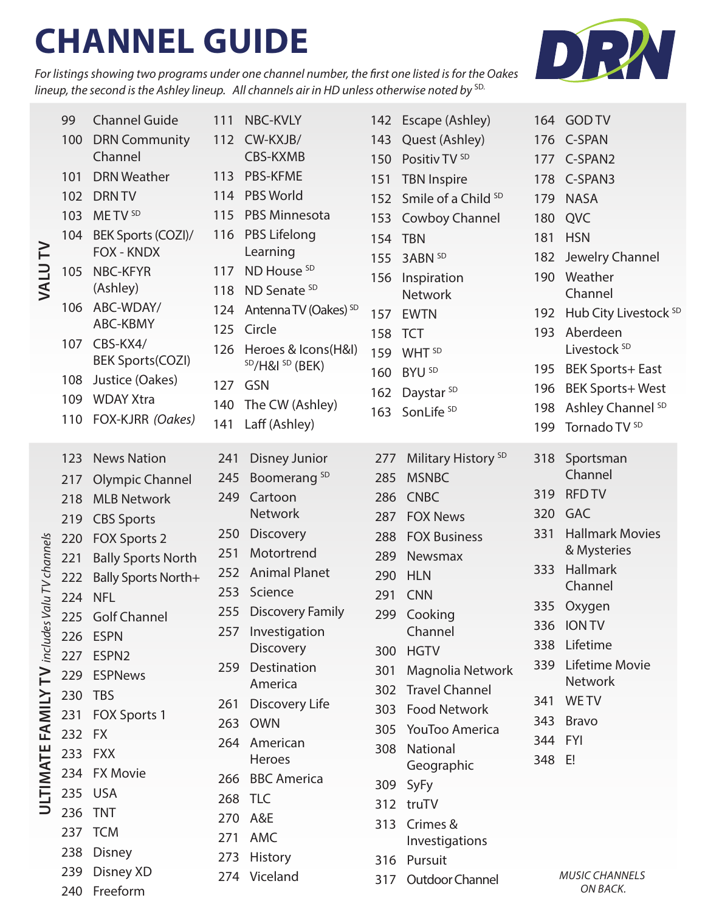# **CHANNEL GUIDE**

*For listings showing two programs under one channel number, the first one listed is for the Oakes lineup, the second is the Ashley lineup. All channels air in HD unless otherwise noted by*<sup>SD.</sup>



| $\geq$<br>VALU                                                        | 99      | <b>Channel Guide</b>                | 111 | NBC-KVLY                               |         | 142 Escape (Ashley)            |         | 164 GOD TV                       |
|-----------------------------------------------------------------------|---------|-------------------------------------|-----|----------------------------------------|---------|--------------------------------|---------|----------------------------------|
|                                                                       | 100     | <b>DRN Community</b>                | 112 | CW-KXJB/                               | 143     | Quest (Ashley)                 |         | 176 C-SPAN                       |
|                                                                       |         | Channel                             |     | CBS-KXMB                               | 150     | Positiv TV <sup>SD</sup>       | 177     | C-SPAN2                          |
|                                                                       | 101     | <b>DRN Weather</b>                  | 113 | <b>PBS-KFME</b>                        | 151     | <b>TBN Inspire</b>             | 178     | C-SPAN3                          |
|                                                                       | 102     | <b>DRN TV</b>                       |     | 114 PBS World                          | 152     | Smile of a Child <sup>SD</sup> | 179     | <b>NASA</b>                      |
|                                                                       | 103     | METV <sup>SD</sup>                  | 115 | <b>PBS Minnesota</b>                   | 153     | Cowboy Channel                 | 180     | QVC                              |
|                                                                       | 104     | BEK Sports (COZI)/                  | 116 | <b>PBS Lifelong</b>                    | 154 TBN |                                | 181     | <b>HSN</b>                       |
|                                                                       |         | FOX - KNDX                          |     | Learning                               | 155     | 3ABN SD                        | 182     | Jewelry Channel                  |
|                                                                       | 105     | NBC-KFYR                            | 117 | ND House <sup>SD</sup>                 | 156     | Inspiration                    | 190     | Weather                          |
|                                                                       |         | (Ashley)                            | 118 | ND Senate <sup>SD</sup>                |         | <b>Network</b>                 |         | Channel                          |
|                                                                       | 106     | ABC-WDAY/                           | 124 | Antenna TV (Oakes) SD                  | 157     | <b>EWTN</b>                    | 192     | Hub City Livestock <sup>SD</sup> |
|                                                                       |         | ABC-KBMY                            | 125 | Circle                                 | 158     | <b>TCT</b>                     | 193     | Aberdeen                         |
|                                                                       | 107     | CBS-KX4/<br><b>BEK Sports(COZI)</b> | 126 | Heroes & Icons(H&I)                    | 159     | WHT <sup>SD</sup>              |         | Livestock <sup>SD</sup>          |
|                                                                       | 108     | Justice (Oakes)                     |     | <sup>SD</sup> /H&I <sup>SD</sup> (BEK) | 160     | BYU <sub>SD</sub>              | 195     | <b>BEK Sports+ East</b>          |
|                                                                       | 109     | <b>WDAY Xtra</b>                    | 127 | <b>GSN</b>                             | 162     | Daystar <sup>SD</sup>          | 196     | <b>BEK Sports+West</b>           |
|                                                                       | 110     | FOX-KJRR (Oakes)                    | 140 | The CW (Ashley)                        |         | 163 SonLife SD                 | 198     | Ashley Channel <sup>SD</sup>     |
|                                                                       |         |                                     | 141 | Laff (Ashley)                          |         |                                | 199     | Tornado TV <sup>SD</sup>         |
| Valu TV channels<br>includes<br>$\geq$<br>FAMILY<br>LTIMATE<br>$\cup$ | 123     | <b>News Nation</b>                  | 241 | <b>Disney Junior</b>                   | 277     | Military History <sup>SD</sup> | 318     | Sportsman                        |
|                                                                       | 217     | <b>Olympic Channel</b>              | 245 | Boomerang <sup>SD</sup>                | 285     | <b>MSNBC</b>                   |         | Channel                          |
|                                                                       | 218     | <b>MLB Network</b>                  | 249 | Cartoon                                | 286     | <b>CNBC</b>                    | 319     | <b>RFD TV</b>                    |
|                                                                       | 219     | <b>CBS Sports</b>                   |     | <b>Network</b>                         | 287     | <b>FOX News</b>                | 320     | <b>GAC</b>                       |
|                                                                       | 220     | FOX Sports 2                        | 250 | <b>Discovery</b>                       | 288     | <b>FOX Business</b>            | 331     | <b>Hallmark Movies</b>           |
|                                                                       | 221     | <b>Bally Sports North</b>           | 251 | Motortrend                             | 289     | Newsmax                        |         | & Mysteries                      |
|                                                                       | 222     | <b>Bally Sports North+</b>          | 252 | <b>Animal Planet</b>                   | 290     | <b>HLN</b>                     | 333     | Hallmark                         |
|                                                                       | 224 NFL |                                     | 253 | Science                                | 291     | <b>CNN</b>                     |         | Channel                          |
|                                                                       | 225     | <b>Golf Channel</b>                 | 255 | <b>Discovery Family</b>                | 299     | Cooking                        | 335     | Oxygen                           |
|                                                                       | 226     | <b>ESPN</b>                         | 257 | Investigation                          |         | Channel                        |         | 336 ION TV                       |
|                                                                       | 227     | ESPN <sub>2</sub>                   |     | <b>Discovery</b>                       | 300     | <b>HGTV</b>                    | 338     | Lifetime                         |
|                                                                       | 229     | <b>ESPNews</b>                      | 259 | Destination                            | 301     | Magnolia Network               | 339     | Lifetime Movie                   |
|                                                                       | 230     | <b>TBS</b>                          |     | America                                | 302     | <b>Travel Channel</b>          |         | <b>Network</b>                   |
|                                                                       | 231     | FOX Sports 1                        | 261 | Discovery Life                         | 303     | <b>Food Network</b>            | 341     | <b>WETV</b>                      |
|                                                                       | 232     | <b>FX</b>                           | 263 | <b>OWN</b>                             | 305     | YouToo America                 | 343     | <b>Bravo</b>                     |
|                                                                       | 233     | <b>FXX</b>                          | 264 | American<br>Heroes                     | 308     | National                       | 344 FYI |                                  |
|                                                                       | 234     | <b>FX Movie</b>                     | 266 | <b>BBC America</b>                     |         | Geographic                     | 348     | E!                               |
|                                                                       |         | 235 USA                             |     | 268 TLC                                |         | 309 SyFy                       |         |                                  |
|                                                                       | 236     | <b>TNT</b>                          | 270 | A&E                                    |         | 312 truTV                      |         |                                  |
|                                                                       |         | 237 TCM                             | 271 | AMC                                    | 313     | Crimes &                       |         |                                  |
|                                                                       | 238     | <b>Disney</b>                       | 273 | History                                |         | Investigations                 |         |                                  |
|                                                                       | 239     | Disney XD                           |     | 274 Viceland                           |         | 316 Pursuit                    |         | <b>MUSIC CHANNELS</b>            |
|                                                                       |         | 240 Freeform                        |     |                                        |         | 317 Outdoor Channel            |         | ON BACK.                         |